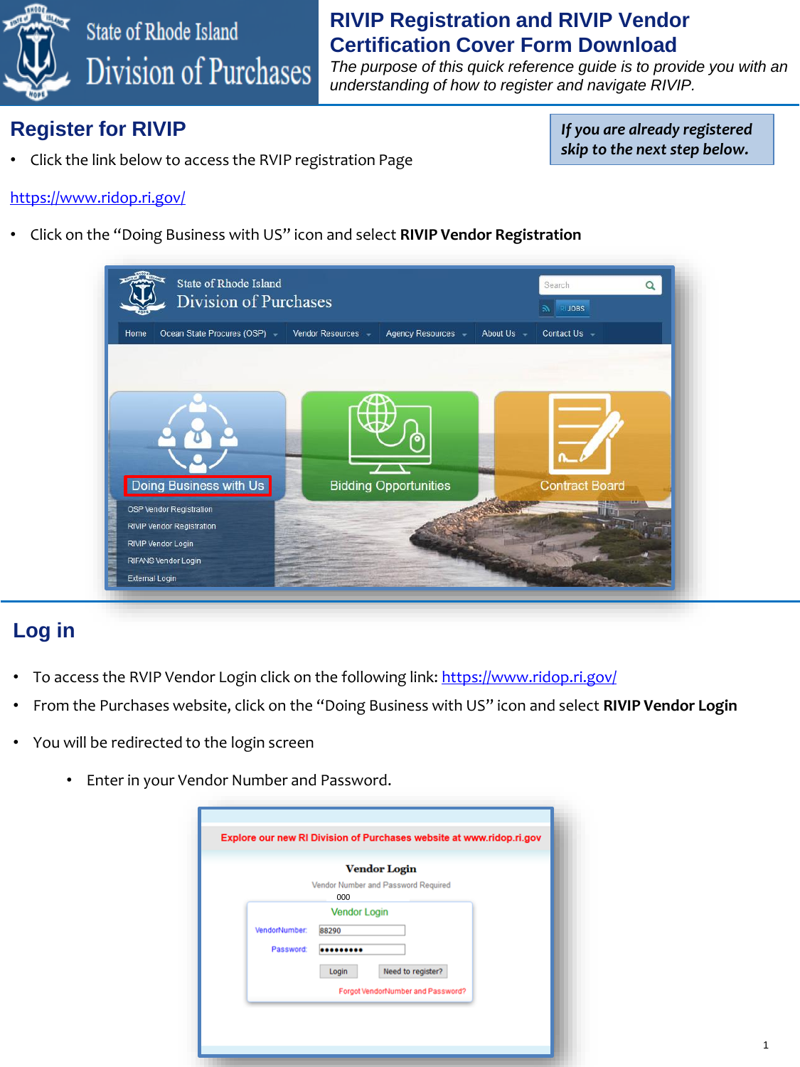

# State of Rhode Island Division of Purchases

#### **RIVIP Registration and RIVIP Vendor Certification Cover Form Download**

*The purpose of this quick reference guide is to provide you with an understanding of how to register and navigate RIVIP.*

### **Register for RIVIP**

• Click the link below to access the RVIP registration Page

*If you are already registered skip to the next step below.*

1

#### <https://www.ridop.ri.gov/>

• Click on the "Doing Business with US" icon and select **RIVIP Vendor Registration**

| State of Rhode Island<br><b>Division of Purchases</b> |                                          | Search<br>RIJOBS             |
|-------------------------------------------------------|------------------------------------------|------------------------------|
| Home<br>Ocean State Procures (OSP) -                  | Vendor Resources -<br>Agency Resources - | About Us -<br>Contact Us $-$ |
|                                                       |                                          |                              |
|                                                       |                                          |                              |
|                                                       |                                          |                              |
| Doing Business with Us                                | <b>Bidding Opportunities</b>             | <b>Contract Board</b>        |
| OSP Vendor Registration<br>RIVIP Vendor Registration  |                                          |                              |
| RIVIP Vendor Login                                    |                                          |                              |
| RIFANS Vendor Login                                   |                                          |                              |
| External Login                                        |                                          |                              |

#### **Log in**

- To access the RVIP Vendor Login click on the following link:<https://www.ridop.ri.gov/>
- From the Purchases website, click on the "Doing Business with US" icon and select **RIVIP Vendor Login**
- You will be redirected to the login screen
	- Enter in your Vendor Number and Password.

|                            | <b>Vendor Login</b>                                             |
|----------------------------|-----------------------------------------------------------------|
|                            | Vendor Number and Password Required<br>000                      |
| VendorNumber:<br>Password: | <b>Vendor Login</b><br>88290                                    |
|                            | Need to register?<br>Login<br>Forgot VendorNumber and Password? |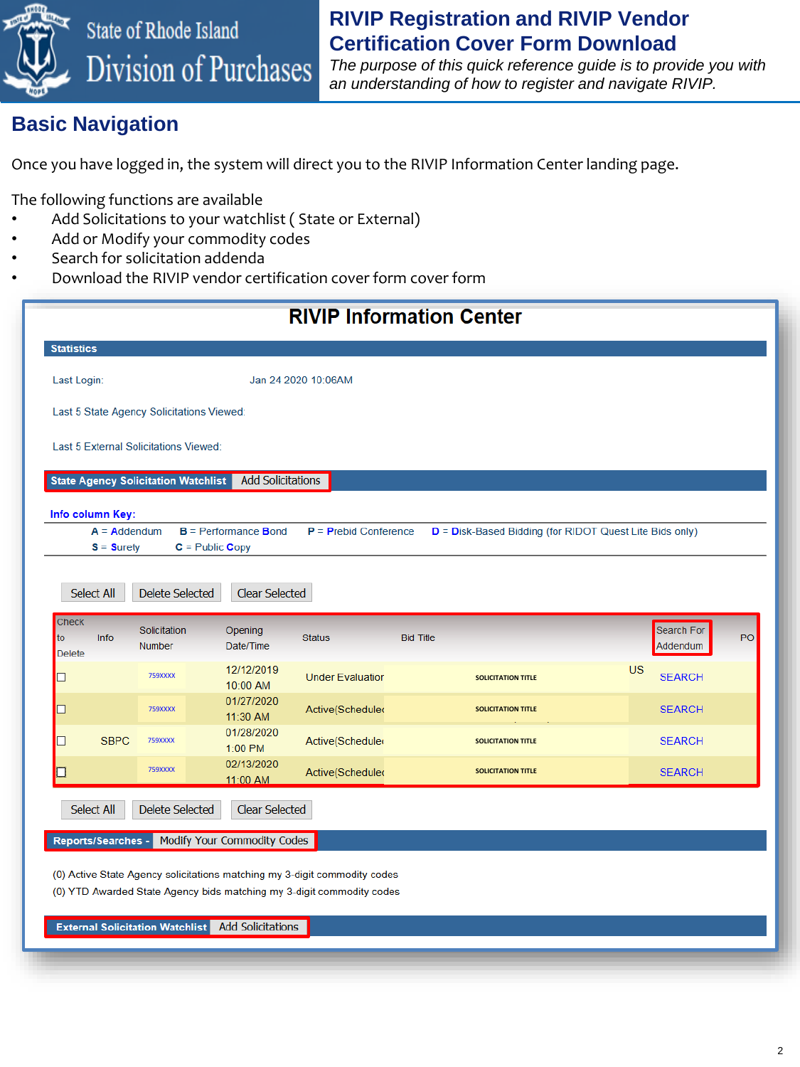

#### **RIVIP Registration and RIVIP Vendor Certification Cover Form Download**

*The purpose of this quick reference guide is to provide you with an understanding of how to register and navigate RIVIP.*

#### **Basic Navigation**

Once you have logged in, the system will direct you to the RIVIP Information Center landing page.

The following functions are available

- Add Solicitations to your watchlist (State or External)
- Add or Modify your commodity codes
- Search for solicitation addenda
- Download the RIVIP vendor certification cover form cover form

| <b>RIVIP Information Center</b>            |                                        |                                                |                                                                                                                                                    |                                                         |           |               |    |
|--------------------------------------------|----------------------------------------|------------------------------------------------|----------------------------------------------------------------------------------------------------------------------------------------------------|---------------------------------------------------------|-----------|---------------|----|
| <b>Statistics</b>                          |                                        |                                                |                                                                                                                                                    |                                                         |           |               |    |
| Last Login:                                |                                        |                                                | Jan 24 2020 10:06AM                                                                                                                                |                                                         |           |               |    |
| Last 5 State Agency Solicitations Viewed:  |                                        |                                                |                                                                                                                                                    |                                                         |           |               |    |
| Last 5 External Solicitations Viewed:      |                                        |                                                |                                                                                                                                                    |                                                         |           |               |    |
| <b>State Agency Solicitation Watchlist</b> |                                        | <b>Add Solicitations</b>                       |                                                                                                                                                    |                                                         |           |               |    |
| Info column Key:                           |                                        |                                                |                                                                                                                                                    |                                                         |           |               |    |
| $A = Addendum$<br>$S =$ Surety             |                                        | $B =$ Performance Bond<br>$C =$ Public Copy    | $P = Prebid$ Conference                                                                                                                            | D = Disk-Based Bidding (for RIDOT Quest Lite Bids only) |           |               |    |
| Select All<br><b>Check</b>                 | <b>Delete Selected</b><br>Solicitation | <b>Clear Selected</b><br>Opening               |                                                                                                                                                    |                                                         |           | Search For    |    |
| to<br>Info<br><b>Delete</b>                | <b>Number</b>                          | Date/Time                                      | <b>Status</b>                                                                                                                                      | <b>Bid Title</b>                                        |           | Addendum      | PO |
|                                            | <b>759XXXX</b>                         | 12/12/2019<br>10:00 AM                         | <b>Under Evaluation</b>                                                                                                                            | <b>SOLICITATION TITLE</b>                               | <b>US</b> | <b>SEARCH</b> |    |
|                                            | <b>759XXXX</b>                         | 01/27/2020<br>11:30 AM                         | Active(Schedule)                                                                                                                                   | <b>SOLICITATION TITLE</b>                               |           | <b>SEARCH</b> |    |
| <b>SBPC</b>                                | <b>759XXXX</b>                         | 01/28/2020<br>1:00 PM                          | Active(Schedule)                                                                                                                                   | <b>SOLICITATION TITLE</b>                               |           | <b>SEARCH</b> |    |
|                                            | <b>759XXXX</b>                         | 02/13/2020<br>11:00 AM                         | Active(Schedule)                                                                                                                                   | <b>SOLICITATION TITLE</b>                               |           | <b>SEARCH</b> |    |
| Select All                                 | <b>Delete Selected</b>                 | <b>Clear Selected</b>                          |                                                                                                                                                    |                                                         |           |               |    |
|                                            |                                        | Reports/Searches - Modify Your Commodity Codes |                                                                                                                                                    |                                                         |           |               |    |
|                                            |                                        |                                                | (0) Active State Agency solicitations matching my 3-digit commodity codes<br>(0) YTD Awarded State Agency bids matching my 3-digit commodity codes |                                                         |           |               |    |

**External Solicitation Watchlist** Add Solicitations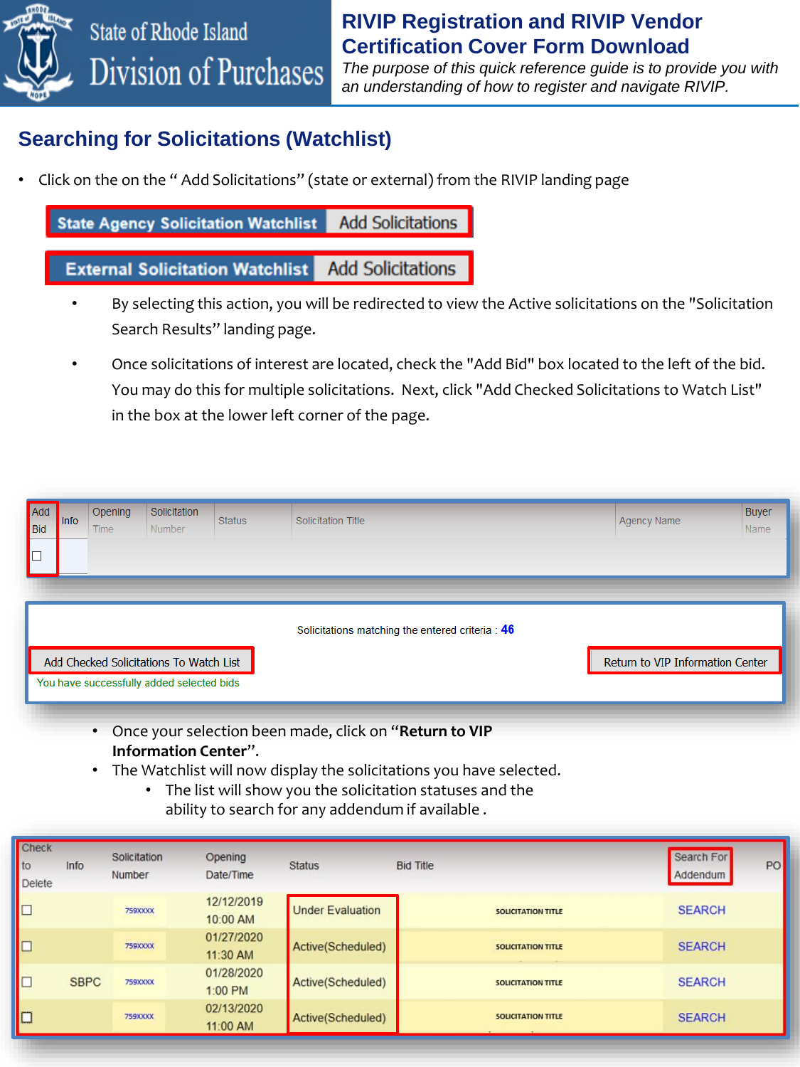

# State of Rhode Island Division of Purchases

#### **RIVIP Registration and RIVIP Vendor Certification Cover Form Download**

*The purpose of this quick reference guide is to provide you with an understanding of how to register and navigate RIVIP.*

### **Searching for Solicitations (Watchlist)**

• Click on the on the " Add Solicitations" (state or external) from the RIVIP landing page

**State Agency Solicitation Watchlist Add Solicitations** 

#### **Add Solicitations External Solicitation Watchlist**

- By selecting this action, you will be redirected to view the Active solicitations on the "Solicitation Search Results" landing page.
- Once solicitations of interest are located, check the "Add Bid" box located to the left of the bid. You may do this for multiple solicitations. Next, click "Add Checked Solicitations to Watch List" in the box at the lower left corner of the page.

| Add<br>Bid<br>▐□ | <b>Info</b> | Opening<br><b>Time</b> | Solicitation<br>Number                                                               | <b>Status</b> | Solicitation Title                               | <b>Agency Name</b>               | <b>Buyer</b><br><b>Name</b> |
|------------------|-------------|------------------------|--------------------------------------------------------------------------------------|---------------|--------------------------------------------------|----------------------------------|-----------------------------|
|                  |             |                        | Add Checked Solicitations To Watch List<br>You have successfully added selected bids |               | Solicitations matching the entered criteria : 46 | Return to VIP Information Center |                             |

- Once your selection been made, click on "**Return to VIP Information Center**".
- The Watchlist will now display the solicitations you have selected.
	- The list will show you the solicitation statuses and the ability to search for any addendum if available .

| <b>Check</b><br>to<br><b>Delete</b> | Info        | Solicitation<br>Number | Opening<br>Date/Time   | <b>Status</b>           | <b>Bid Title</b>          | Search For<br>PO<br>Addendum |
|-------------------------------------|-------------|------------------------|------------------------|-------------------------|---------------------------|------------------------------|
| $\Box$                              |             | <b>759XXXX</b>         | 12/12/2019<br>10:00 AM | <b>Under Evaluation</b> | <b>SOLICITATION TITLE</b> | <b>SEARCH</b>                |
| C                                   |             | <b>759XXXX</b>         | 01/27/2020<br>11:30 AM | Active(Scheduled)       | <b>SOLICITATION TITLE</b> | <b>SEARCH</b>                |
| $\Box$                              | <b>SBPC</b> | <b>759XXXX</b>         | 01/28/2020<br>1:00 PM  | Active(Scheduled)       | <b>SOLICITATION TITLE</b> | <b>SEARCH</b>                |
| $\square$                           |             | 759XXXX                | 02/13/2020<br>11:00 AM | Active(Scheduled)       | <b>SOLICITATION TITLE</b> | <b>SEARCH</b>                |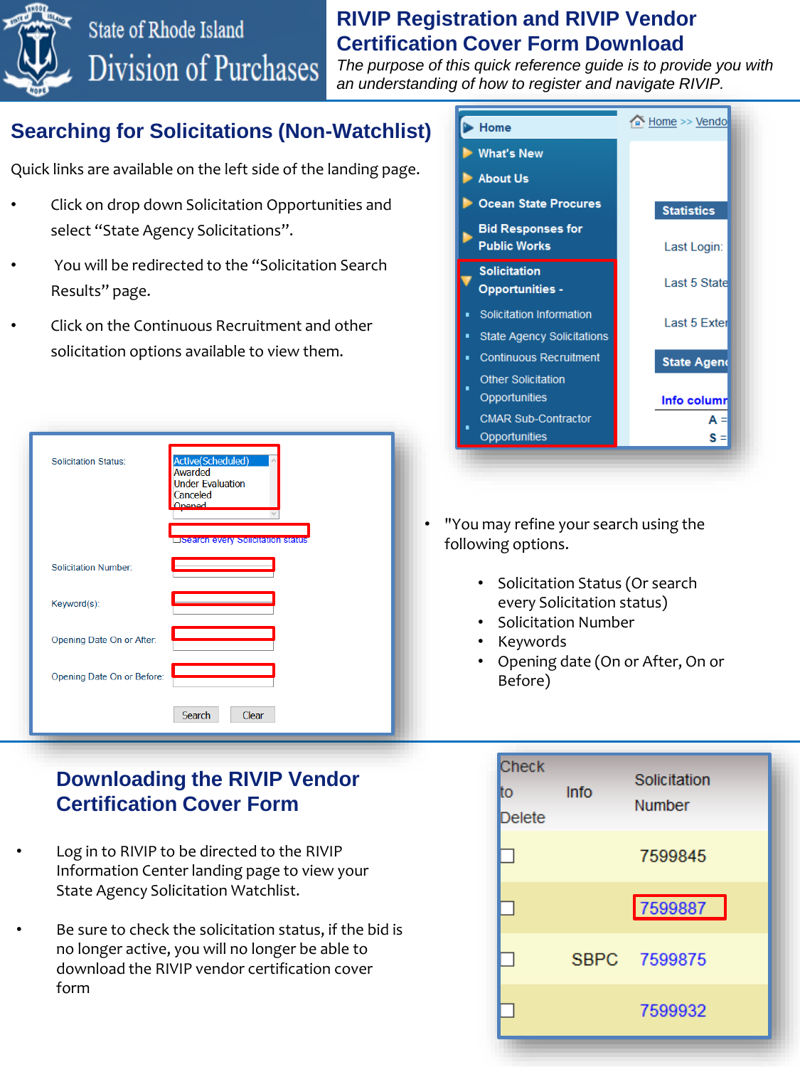#### **RIVIP Registration and RIVIP Vendor Certification Cover Form Download**

*The purpose of this quick reference guide is to provide you with an understanding of how to register and navigate RIVIP.*

## **Searching for Solicitations (Non-Watchlist)**

Division of Purchases

Quick links are available on the left side of the landing page.

• Click on drop down Solicitation Opportunities and select "State Agency Solicitations".

State of Rhode Island

- You will be redirected to the "Solicitation Search Results" page.
- Click on the Continuous Recruitment and other solicitation options available to view them.

| <b>Solicitation Status:</b> | Active(Scheduled)<br>Awarded<br><b>Under Evaluation</b><br>Canceled<br>Onened<br><b>LISTANCE EVERY SOFICIATION STATUS</b> |
|-----------------------------|---------------------------------------------------------------------------------------------------------------------------|
| <b>Solicitation Number:</b> |                                                                                                                           |
| Keyword(s):                 |                                                                                                                           |
| Opening Date On or After:   |                                                                                                                           |
| Opening Date On or Before:  |                                                                                                                           |
|                             | Search<br>Clear                                                                                                           |

#### **Downloading the RIVIP Vendor Certification Cover Form**

- Log in to RIVIP to be directed to the RIVIP Information Center landing page to view your State Agency Solicitation Watchlist.
- Be sure to check the solicitation status, if the bid is no longer active, you will no longer be able to download the RIVIP vendor certification cover form



- "You may refine your search using the following options.
	- Solicitation Status (Or search every Solicitation status)
	- Solicitation Number
	- Keywords
	- Opening date (On or After, On or Before)